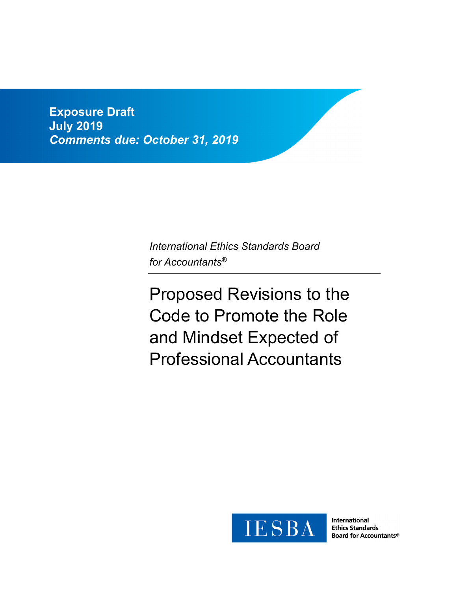**Exposure Draft July 2019**  *Comments due: October 31, 2019* 

> *International Ethics Standards Board for Accountants®*

Proposed Revisions to the Code to Promote the Role and Mindset Expected of Professional Accountants



**International Ethics Standards Board for Accountants®**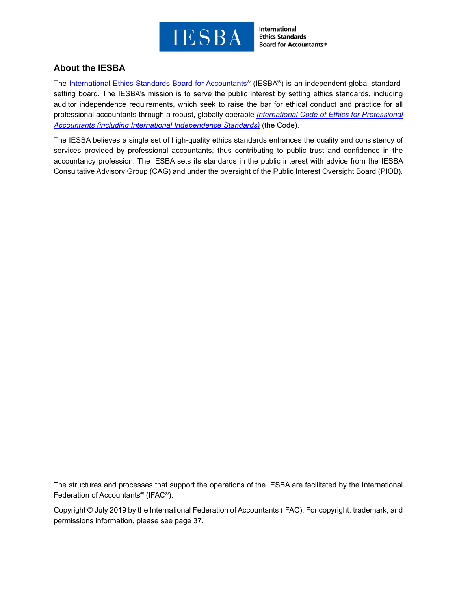

**International Ethics Standards Board for Accountants®** 

# **About the IESBA**

The International Ethics Standards Board for Accountants<sup>®</sup> (IESBA<sup>®</sup>) is an independent global standardsetting board. The IESBA's mission is to serve the public interest by setting ethics standards, including auditor independence requirements, which seek to raise the bar for ethical conduct and practice for all professional accountants through a robust, globally operable *International Code of Ethics for Professional Accountants (including International Independence Standards)* (the Code).

The IESBA believes a single set of high-quality ethics standards enhances the quality and consistency of services provided by professional accountants, thus contributing to public trust and confidence in the accountancy profession. The IESBA sets its standards in the public interest with advice from the IESBA Consultative Advisory Group (CAG) and under the oversight of the Public Interest Oversight Board (PIOB).

The structures and processes that support the operations of the IESBA are facilitated by the International Federation of Accountants® (IFAC®).

Copyright © July 2019 by the International Federation of Accountants (IFAC). For copyright, trademark, and permissions information, please see page 37.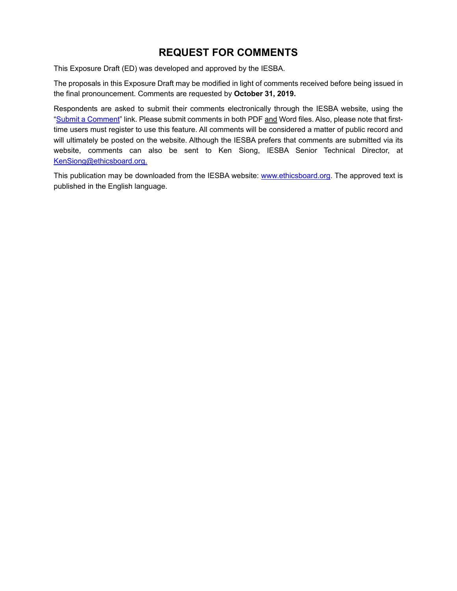# **REQUEST FOR COMMENTS**

This Exposure Draft (ED) was developed and approved by the IESBA.

The proposals in this Exposure Draft may be modified in light of comments received before being issued in the final pronouncement. Comments are requested by **October 31, 2019.**

Respondents are asked to submit their comments electronically through the IESBA website, using the "Submit a Comment" link. Please submit comments in both PDF and Word files. Also, please note that firsttime users must register to use this feature. All comments will be considered a matter of public record and will ultimately be posted on the website. Although the IESBA prefers that comments are submitted via its website, comments can also be sent to Ken Siong, IESBA Senior Technical Director, at KenSiong@ethicsboard.org.

This publication may be downloaded from the IESBA website: www.ethicsboard.org. The approved text is published in the English language.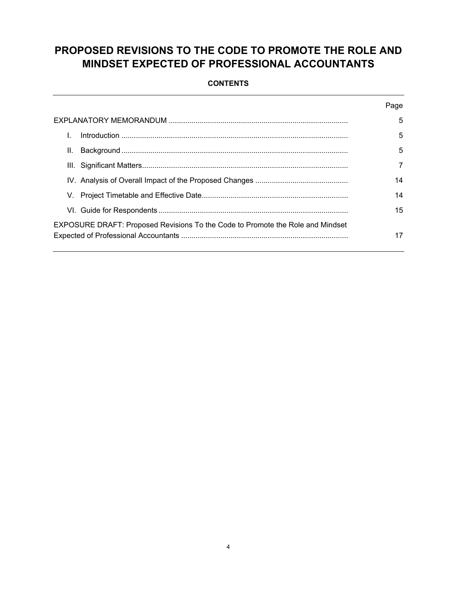# **PROPOSED REVISIONS TO THE CODE TO PROMOTE THE ROLE AND MINDSET EXPECTED OF PROFESSIONAL ACCOUNTANTS**

### **CONTENTS**

|                                                                                | Page |
|--------------------------------------------------------------------------------|------|
|                                                                                | 5    |
|                                                                                | 5    |
| Ш.                                                                             | 5    |
|                                                                                | 7    |
|                                                                                | 14   |
|                                                                                | 14   |
|                                                                                | 15   |
| EXPOSURE DRAFT: Proposed Revisions To the Code to Promote the Role and Mindset | 17   |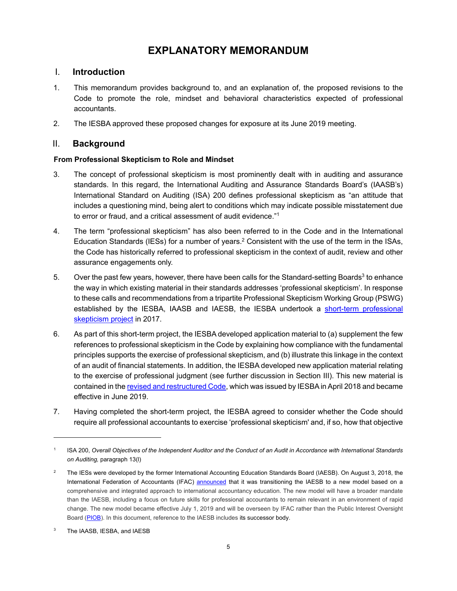# **EXPLANATORY MEMORANDUM**

# I. **Introduction**

- 1. This memorandum provides background to, and an explanation of, the proposed revisions to the Code to promote the role, mindset and behavioral characteristics expected of professional accountants.
- 2. The IESBA approved these proposed changes for exposure at its June 2019 meeting.

# II. **Background**

### **From Professional Skepticism to Role and Mindset**

- 3. The concept of professional skepticism is most prominently dealt with in auditing and assurance standards. In this regard, the International Auditing and Assurance Standards Board's (IAASB's) International Standard on Auditing (ISA) 200 defines professional skepticism as "an attitude that includes a questioning mind, being alert to conditions which may indicate possible misstatement due to error or fraud, and a critical assessment of audit evidence."1
- 4. The term "professional skepticism" has also been referred to in the Code. and in the International Education Standards (IESs) for a number of years.<sup>2</sup> Consistent with the use of the term in the ISAs, the Code has historically referred to professional skepticism in the context of audit, review and other assurance engagements only.
- 5. Over the past few years, however, there have been calls for the Standard-setting Boards<sup>3</sup> to enhance the way in which existing material in their standards addresses 'professional skepticism'. In response to these calls and recommendations from a tripartite Professional Skepticism Working Group (PSWG) established by the IESBA, IAASB and IAESB, the IESBA undertook a short-term professional skepticism project in 2017.
- 6. As part of this short-term project, the IESBA developed application material to (a) supplement the few references to professional skepticism in the Code by explaining how compliance with the fundamental principles supports the exercise of professional skepticism, and (b) illustrate this linkage in the context of an audit of financial statements. In addition, the IESBA developed new application material relating to the exercise of professional judgment (see further discussion in Section III). This new material is contained in the revised and restructured Code, which was issued by IESBA in April 2018 and became effective in June 2019.
- 7. Having completed the short-term project, the IESBA agreed to consider whether the Code should require all professional accountants to exercise 'professional skepticism' and, if so, how that objective

<sup>1</sup> ISA 200, *Overall Objectives of the Independent Auditor and the Conduct of an Audit in Accordance with International Standards on Auditing,* paragraph 13(l)

<sup>2</sup> The IESs were developed by the former International Accounting Education Standards Board (IAESB). On August 3, 2018, the International Federation of Accountants (IFAC) announced that it was transitioning the IAESB to a new model based on a comprehensive and integrated approach to international accountancy education. The new model will have a broader mandate than the IAESB, including a focus on future skills for professional accountants to remain relevant in an environment of rapid change. The new model became effective July 1, 2019 and will be overseen by IFAC rather than the Public Interest Oversight Board (PIOB). In this document, reference to the IAESB includes its successor body.

<sup>3</sup> The IAASB, IESBA, and IAESB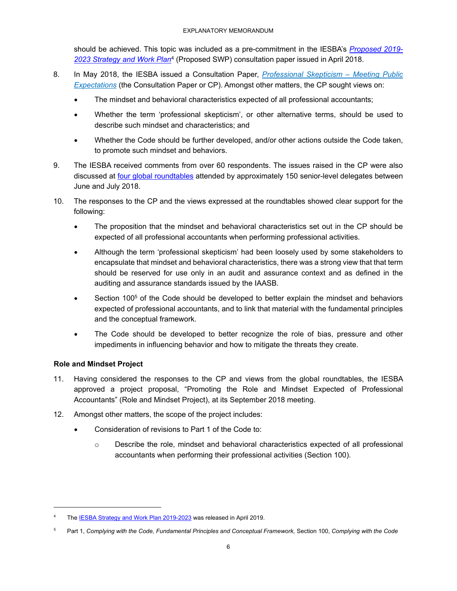should be achieved. This topic was included as a pre-commitment in the IESBA's *Proposed 2019- 2023 Strategy and Work Plan*4 (Proposed SWP) consultation paper issued in April 2018.

- 8. In May 2018, the IESBA issued a Consultation Paper, *Professional Skepticism Meeting Public Expectations* (the Consultation Paper or CP). Amongst other matters, the CP sought views on:
	- The mindset and behavioral characteristics expected of all professional accountants;
	- Whether the term 'professional skepticism', or other alternative terms, should be used to describe such mindset and characteristics; and
	- Whether the Code should be further developed, and/or other actions outside the Code taken, to promote such mindset and behaviors.
- 9. The IESBA received comments from over 60 respondents. The issues raised in the CP were also discussed at four global roundtables attended by approximately 150 senior-level delegates between June and July 2018.
- 10. The responses to the CP and the views expressed at the roundtables showed clear support for the following:
	- The proposition that the mindset and behavioral characteristics set out in the CP should be expected of all professional accountants when performing professional activities.
	- Although the term 'professional skepticism' had been loosely used by some stakeholders to encapsulate that mindset and behavioral characteristics, there was a strong view that that term should be reserved for use only in an audit and assurance context and as defined in the auditing and assurance standards issued by the IAASB.
	- Section 100<sup>5</sup> of the Code should be developed to better explain the mindset and behaviors expected of professional accountants, and to link that material with the fundamental principles and the conceptual framework.
	- The Code should be developed to better recognize the role of bias, pressure and other impediments in influencing behavior and how to mitigate the threats they create.

### **Role and Mindset Project**

- 11. Having considered the responses to the CP and views from the global roundtables, the IESBA approved a project proposal, "Promoting the Role and Mindset Expected of Professional Accountants" (Role and Mindset Project), at its September 2018 meeting.
- 12. Amongst other matters, the scope of the project includes:
	- Consideration of revisions to Part 1 of the Code to:
		- o Describe the role, mindset and behavioral characteristics expected of all professional accountants when performing their professional activities (Section 100).

<sup>4</sup> The **IESBA Strategy and Work Plan 2019-2023** was released in April 2019.

<sup>5</sup> Part 1, *Complying with the Code, Fundamental Principles and Conceptual Framework,* Section 100, *Complying with the Code*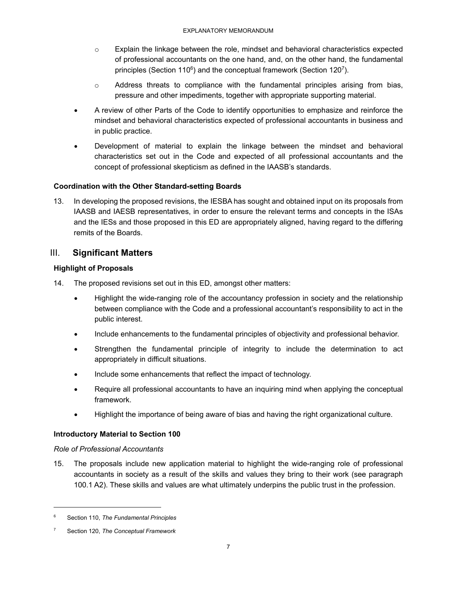- o Explain the linkage between the role, mindset and behavioral characteristics expected of professional accountants on the one hand, and, on the other hand, the fundamental principles (Section 110<sup>6</sup>) and the conceptual framework (Section 120<sup>7</sup>).
- $\circ$  Address threats to compliance with the fundamental principles arising from bias, pressure and other impediments, together with appropriate supporting material.
- A review of other Parts of the Code to identify opportunities to emphasize and reinforce the mindset and behavioral characteristics expected of professional accountants in business and in public practice.
- Development of material to explain the linkage between the mindset and behavioral characteristics set out in the Code and expected of all professional accountants and the concept of professional skepticism as defined in the IAASB's standards.

### **Coordination with the Other Standard-setting Boards**

13. In developing the proposed revisions, the IESBA has sought and obtained input on its proposals from IAASB and IAESB representatives, in order to ensure the relevant terms and concepts in the ISAs and the IESs and those proposed in this ED are appropriately aligned, having regard to the differing remits of the Boards.

# III. **Significant Matters**

### **Highlight of Proposals**

- 14. The proposed revisions set out in this ED, amongst other matters:
	- Highlight the wide-ranging role of the accountancy profession in society and the relationship between compliance with the Code and a professional accountant's responsibility to act in the public interest.
	- Include enhancements to the fundamental principles of objectivity and professional behavior.
	- Strengthen the fundamental principle of integrity to include the determination to act appropriately in difficult situations.
	- Include some enhancements that reflect the impact of technology.
	- Require all professional accountants to have an inquiring mind when applying the conceptual framework.
	- Highlight the importance of being aware of bias and having the right organizational culture.

### **Introductory Material to Section 100**

### *Role of Professional Accountants*

15. The proposals include new application material to highlight the wide-ranging role of professional accountants in society as a result of the skills and values they bring to their work (see paragraph 100.1 A2). These skills and values are what ultimately underpins the public trust in the profession.

<sup>6</sup> Section 110, *The Fundamental Principles*

<sup>7</sup> Section 120, *The Conceptual Framework*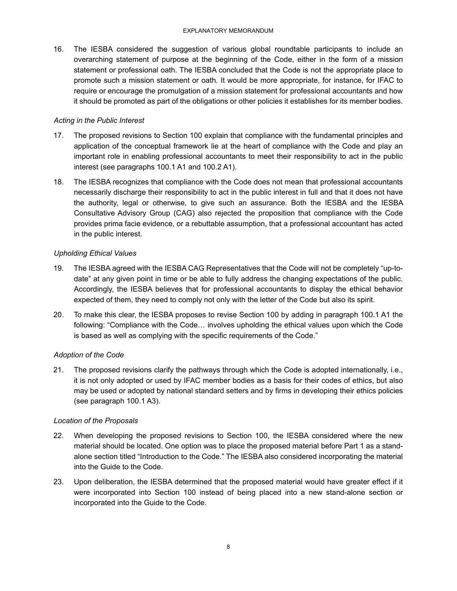16. The IESBA considered the suggestion of various global roundtable participants to include an overarching statement of purpose at the beginning of the Code, either in the form of a mission statement or professional oath. The IESBA concluded that the Code is not the appropriate place to promote such a mission statement or oath. It would be more appropriate, for instance, for IFAC to require or encourage the promulgation of a mission statement for professional accountants and how it should be promoted as part of the obligations or other policies it establishes for its member bodies.

### *Acting in the Public Interest*

- 17. The proposed revisions to Section 100 explain that compliance with the fundamental principles and application of the conceptual framework lie at the heart of compliance with the Code and play an important role in enabling professional accountants to meet their responsibility to act in the public interest (see paragraphs 100.1 A1 and 100.2 A1).
- 18. The IESBA recognizes that compliance with the Code does not mean that professional accountants necessarily discharge their responsibility to act in the public interest in full and that it does not have the authority, legal or otherwise, to give such an assurance. Both the IESBA and the IESBA Consultative Advisory Group (CAG) also rejected the proposition that compliance with the Code provides prima facie evidence, or a rebuttable assumption, that a professional accountant has acted in the public interest.

### *Upholding Ethical Values*

- 19. The IESBA agreed with the IESBA CAG Representatives that the Code will not be completely "up-todate" at any given point in time or be able to fully address the changing expectations of the public. Accordingly, the IESBA believes that for professional accountants to display the ethical behavior expected of them, they need to comply not only with the letter of the Code but also its spirit.
- 20. To make this clear, the IESBA proposes to revise Section 100 by adding in paragraph 100.1 A1 the following: "Compliance with the Code… involves upholding the ethical values upon which the Code is based as well as complying with the specific requirements of the Code."

## *Adoption of the Code*

21. The proposed revisions clarify the pathways through which the Code is adopted internationally, i.e., it is not only adopted or used by IFAC member bodies as a basis for their codes of ethics, but also may be used or adopted by national standard setters and by firms in developing their ethics policies (see paragraph 100.1 A3).

### *Location of the Proposals*

- 22. When developing the proposed revisions to Section 100, the IESBA considered where the new material should be located. One option was to place the proposed material before Part 1 as a standalone section titled "Introduction to the Code." The IESBA also considered incorporating the material into the Guide to the Code.
- 23. Upon deliberation, the IESBA determined that the proposed material would have greater effect if it were incorporated into Section 100 instead of being placed into a new stand-alone section or incorporated into the Guide to the Code.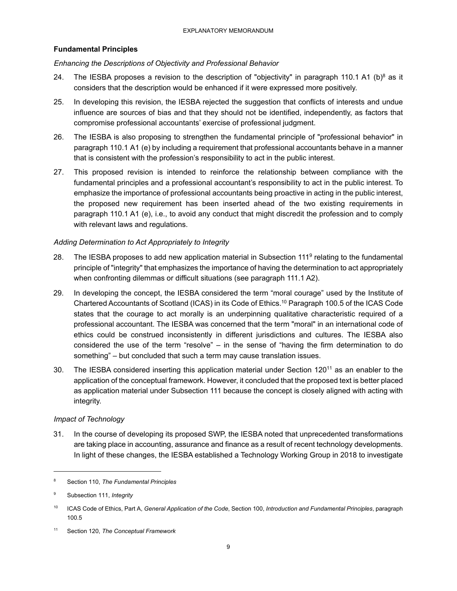### **Fundamental Principles**

### *Enhancing the Descriptions of Objectivity and Professional Behavior*

- 24. The IESBA proposes a revision to the description of "objectivity" in paragraph 110.1 A1 (b)<sup>8</sup> as it considers that the description would be enhanced if it were expressed more positively.
- 25. In developing this revision, the IESBA rejected the suggestion that conflicts of interests and undue influence are sources of bias and that they should not be identified, independently, as factors that compromise professional accountants' exercise of professional judgment.
- 26. The IESBA is also proposing to strengthen the fundamental principle of "professional behavior" in paragraph 110.1 A1 (e) by including a requirement that professional accountants behave in a manner that is consistent with the profession's responsibility to act in the public interest.
- 27. This proposed revision is intended to reinforce the relationship between compliance with the fundamental principles and a professional accountant's responsibility to act in the public interest. To emphasize the importance of professional accountants being proactive in acting in the public interest, the proposed new requirement has been inserted ahead of the two existing requirements in paragraph 110.1 A1 (e), i.e., to avoid any conduct that might discredit the profession and to comply with relevant laws and regulations.

### *Adding Determination to Act Appropriately to Integrity*

- 28. The IESBA proposes to add new application material in Subsection 111<sup>9</sup> relating to the fundamental principle of "integrity" that emphasizes the importance of having the determination to act appropriately when confronting dilemmas or difficult situations (see paragraph 111.1 A2).
- 29. In developing the concept, the IESBA considered the term "moral courage" used by the Institute of Chartered Accountants of Scotland (ICAS) in its Code of Ethics.10 Paragraph 100.5 of the ICAS Code states that the courage to act morally is an underpinning qualitative characteristic required of a professional accountant. The IESBA was concerned that the term "moral" in an international code of ethics could be construed inconsistently in different jurisdictions and cultures. The IESBA also considered the use of the term "resolve" – in the sense of "having the firm determination to do something" – but concluded that such a term may cause translation issues.
- 30. The IESBA considered inserting this application material under Section 12011 as an enabler to the application of the conceptual framework. However, it concluded that the proposed text is better placed as application material under Subsection 111 because the concept is closely aligned with acting with integrity.

#### *Impact of Technology*

31. In the course of developing its proposed SWP, the IESBA noted that unprecedented transformations are taking place in accounting, assurance and finance as a result of recent technology developments. In light of these changes, the IESBA established a Technology Working Group in 2018 to investigate

<sup>8</sup> Section 110, *The Fundamental Principles*

<sup>9</sup> Subsection 111, *Integrity*

<sup>10</sup> ICAS Code of Ethics, Part A, *General Application of the Code*, Section 100, *Introduction and Fundamental Principles*, paragraph 100.5

<sup>11</sup> Section 120, *The Conceptual Framework*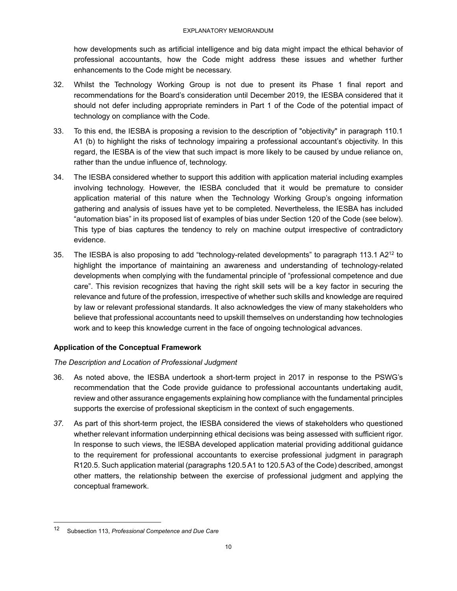how developments such as artificial intelligence and big data might impact the ethical behavior of professional accountants, how the Code might address these issues and whether further enhancements to the Code might be necessary.

- 32. Whilst the Technology Working Group is not due to present its Phase 1 final report and recommendations for the Board's consideration until December 2019, the IESBA considered that it should not defer including appropriate reminders in Part 1 of the Code of the potential impact of technology on compliance with the Code.
- 33. To this end, the IESBA is proposing a revision to the description of "objectivity" in paragraph 110.1 A1 (b) to highlight the risks of technology impairing a professional accountant's objectivity. In this regard, the IESBA is of the view that such impact is more likely to be caused by undue reliance on, rather than the undue influence of, technology.
- 34. The IESBA considered whether to support this addition with application material including examples involving technology. However, the IESBA concluded that it would be premature to consider application material of this nature when the Technology Working Group's ongoing information gathering and analysis of issues have yet to be completed. Nevertheless, the IESBA has included "automation bias" in its proposed list of examples of bias under Section 120 of the Code (see below). This type of bias captures the tendency to rely on machine output irrespective of contradictory evidence.
- 35. The IESBA is also proposing to add "technology-related developments" to paragraph 113.1 A2<sup>12</sup> to highlight the importance of maintaining an awareness and understanding of technology-related developments when complying with the fundamental principle of "professional competence and due care". This revision recognizes that having the right skill sets will be a key factor in securing the relevance and future of the profession, irrespective of whether such skills and knowledge are required by law or relevant professional standards. It also acknowledges the view of many stakeholders who believe that professional accountants need to upskill themselves on understanding how technologies work and to keep this knowledge current in the face of ongoing technological advances.

### **Application of the Conceptual Framework**

### *The Description and Location of Professional Judgment*

- 36. As noted above, the IESBA undertook a short-term project in 2017 in response to the PSWG's recommendation that the Code provide guidance to professional accountants undertaking audit, review and other assurance engagements explaining how compliance with the fundamental principles supports the exercise of professional skepticism in the context of such engagements.
- *37.* As part of this short-term project, the IESBA considered the views of stakeholders who questioned whether relevant information underpinning ethical decisions was being assessed with sufficient rigor. In response to such views, the IESBA developed application material providing additional guidance to the requirement for professional accountants to exercise professional judgment in paragraph R120.5. Such application material (paragraphs 120.5 A1 to 120.5 A3 of the Code) described, amongst other matters, the relationship between the exercise of professional judgment and applying the conceptual framework.

<sup>12</sup> Subsection 113, *Professional Competence and Due Care*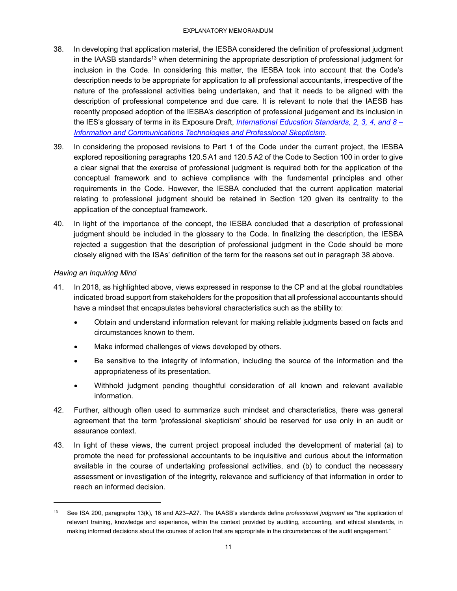- 38. In developing that application material, the IESBA considered the definition of professional judgment in the IAASB standards<sup>13</sup> when determining the appropriate description of professional judgment for inclusion in the Code. In considering this matter, the IESBA took into account that the Code's description needs to be appropriate for application to all professional accountants, irrespective of the nature of the professional activities being undertaken, and that it needs to be aligned with the description of professional competence and due care. It is relevant to note that the IAESB has recently proposed adoption of the IESBA's description of professional judgement and its inclusion in the IES's glossary of terms in its Exposure Draft, *International Education Standards, 2, 3, 4, and 8 – Information and Communications Technologies and Professional Skepticism*.
- 39. In considering the proposed revisions to Part 1 of the Code under the current project, the IESBA explored repositioning paragraphs 120.5 A1 and 120.5 A2 of the Code to Section 100 in order to give a clear signal that the exercise of professional judgment is required both for the application of the conceptual framework and to achieve compliance with the fundamental principles and other requirements in the Code. However, the IESBA concluded that the current application material relating to professional judgment should be retained in Section 120 given its centrality to the application of the conceptual framework.
- 40. In light of the importance of the concept, the IESBA concluded that a description of professional judgment should be included in the glossary to the Code. In finalizing the description, the IESBA rejected a suggestion that the description of professional judgment in the Code should be more closely aligned with the ISAs' definition of the term for the reasons set out in paragraph 38 above.

### *Having an Inquiring Mind*

1

- 41. In 2018, as highlighted above, views expressed in response to the CP and at the global roundtables indicated broad support from stakeholders for the proposition that all professional accountants should have a mindset that encapsulates behavioral characteristics such as the ability to:
	- Obtain and understand information relevant for making reliable judgments based on facts and circumstances known to them.
	- Make informed challenges of views developed by others.
	- Be sensitive to the integrity of information, including the source of the information and the appropriateness of its presentation.
	- Withhold judgment pending thoughtful consideration of all known and relevant available information.
- 42. Further, although often used to summarize such mindset and characteristics, there was general agreement that the term 'professional skepticism' should be reserved for use only in an audit or assurance context.
- 43. In light of these views, the current project proposal included the development of material (a) to promote the need for professional accountants to be inquisitive and curious about the information available in the course of undertaking professional activities, and (b) to conduct the necessary assessment or investigation of the integrity, relevance and sufficiency of that information in order to reach an informed decision.

<sup>13</sup> See ISA 200, paragraphs 13(k), 16 and A23–A27. The IAASB's standards define *professional judgment* as "the application of relevant training, knowledge and experience, within the context provided by auditing, accounting, and ethical standards, in making informed decisions about the courses of action that are appropriate in the circumstances of the audit engagement."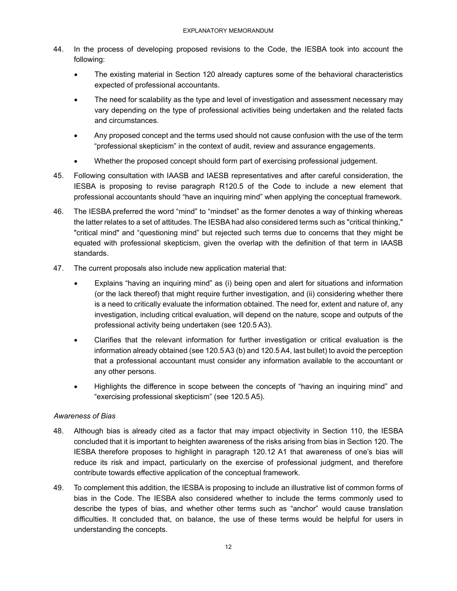- 44. In the process of developing proposed revisions to the Code, the IESBA took into account the following:
	- The existing material in Section 120 already captures some of the behavioral characteristics expected of professional accountants.
	- The need for scalability as the type and level of investigation and assessment necessary may vary depending on the type of professional activities being undertaken and the related facts and circumstances.
	- Any proposed concept and the terms used should not cause confusion with the use of the term "professional skepticism" in the context of audit, review and assurance engagements.
	- Whether the proposed concept should form part of exercising professional judgement.
- 45. Following consultation with IAASB and IAESB representatives and after careful consideration, the IESBA is proposing to revise paragraph R120.5 of the Code to include a new element that professional accountants should "have an inquiring mind" when applying the conceptual framework.
- 46. The IESBA preferred the word "mind" to "mindset" as the former denotes a way of thinking whereas the latter relates to a set of attitudes. The IESBA had also considered terms such as "critical thinking," "critical mind" and "questioning mind" but rejected such terms due to concerns that they might be equated with professional skepticism, given the overlap with the definition of that term in IAASB standards.
- 47. The current proposals also include new application material that:
	- Explains "having an inquiring mind" as (i) being open and alert for situations and information (or the lack thereof) that might require further investigation, and (ii) considering whether there is a need to critically evaluate the information obtained. The need for, extent and nature of, any investigation, including critical evaluation, will depend on the nature, scope and outputs of the professional activity being undertaken (see 120.5 A3).
	- Clarifies that the relevant information for further investigation or critical evaluation is the information already obtained (see 120.5 A3 (b) and 120.5 A4, last bullet) to avoid the perception that a professional accountant must consider any information available to the accountant or any other persons.
	- Highlights the difference in scope between the concepts of "having an inquiring mind" and "exercising professional skepticism" (see 120.5 A5).

### *Awareness of Bias*

- 48. Although bias is already cited as a factor that may impact objectivity in Section 110, the IESBA concluded that it is important to heighten awareness of the risks arising from bias in Section 120. The IESBA therefore proposes to highlight in paragraph 120.12 A1 that awareness of one's bias will reduce its risk and impact, particularly on the exercise of professional judgment, and therefore contribute towards effective application of the conceptual framework.
- 49. To complement this addition, the IESBA is proposing to include an illustrative list of common forms of bias in the Code. The IESBA also considered whether to include the terms commonly used to describe the types of bias, and whether other terms such as "anchor" would cause translation difficulties. It concluded that, on balance, the use of these terms would be helpful for users in understanding the concepts.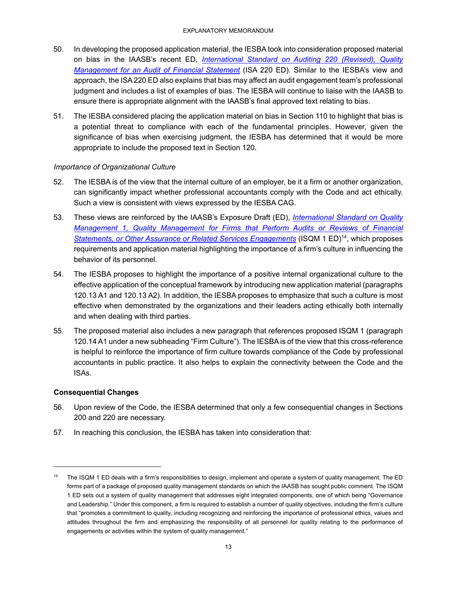- 50. In developing the proposed application material, the IESBA took into consideration proposed material on bias in the IAASB's recent ED, *International Standard on Auditing 220 (Revised), Quality Management for an Audit of Financial Statement* (ISA 220 ED). Similar to the IESBA's view and approach, the ISA 220 ED also explains that bias may affect an audit engagement team's professional judgment and includes a list of examples of bias. The IESBA will continue to liaise with the IAASB to ensure there is appropriate alignment with the IAASB's final approved text relating to bias.
- 51. The IESBA considered placing the application material on bias in Section 110 to highlight that bias is a potential threat to compliance with each of the fundamental principles. However, given the significance of bias when exercising judgment, the IESBA has determined that it would be more appropriate to include the proposed text in Section 120.

### *Importance of Organizational Culture*

- 52. The IESBA is of the view that the internal culture of an employer, be it a firm or another organization, can significantly impact whether professional accountants comply with the Code and act ethically. Such a view is consistent with views expressed by the IESBA CAG.
- 53. These views are reinforced by the IAASB's Exposure Draft (ED), *International Standard on Quality Management 1, Quality Management for Firms that Perform Audits or Reviews of Financial Statements, or Other Assurance or Related Services Engagements* (ISQM 1 ED)14, which proposes requirements and application material highlighting the importance of a firm's culture in influencing the behavior of its personnel.
- 54. The IESBA proposes to highlight the importance of a positive internal organizational culture to the effective application of the conceptual framework by introducing new application material (paragraphs 120.13 A1 and 120.13 A2). In addition, the IESBA proposes to emphasize that such a culture is most effective when demonstrated by the organizations and their leaders acting ethically both internally and when dealing with third parties.
- 55. The proposed material also includes a new paragraph that references proposed ISQM 1 (paragraph 120.14 A1 under a new subheading "Firm Culture"). The IESBA is of the view that this cross-reference is helpful to reinforce the importance of firm culture towards compliance of the Code by professional accountants in public practice. It also helps to explain the connectivity between the Code and the ISAs.

## **Consequential Changes**

- 56. Upon review of the Code, the IESBA determined that only a few consequential changes in Sections 200 and 220 are necessary.
- 57. In reaching this conclusion, the IESBA has taken into consideration that:

<sup>&</sup>lt;sup>14</sup> The ISQM 1 ED deals with a firm's responsibilities to design, implement and operate a system of quality management. The ED forms part of a package of proposed quality management standards on which the IAASB has sought public comment. The ISQM 1 ED sets out a system of quality management that addresses eight integrated components, one of which being "Governance and Leadership." Under this component, a firm is required to establish a number of quality objectives, including the firm's culture that "promotes a commitment to quality, including recognizing and reinforcing the importance of professional ethics, values and attitudes throughout the firm and emphasizing the responsibility of all personnel for quality relating to the performance of engagements or activities within the system of quality management."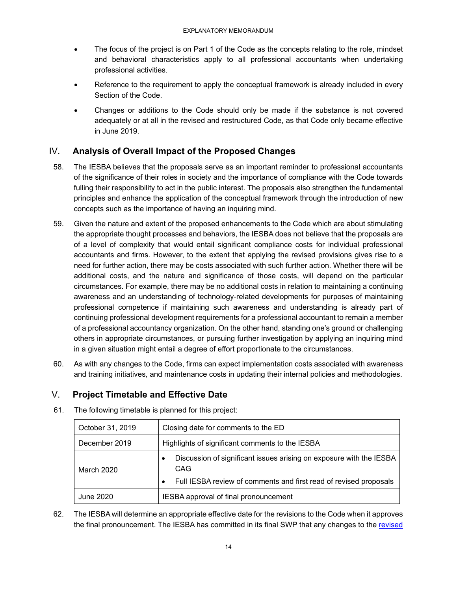- The focus of the project is on Part 1 of the Code as the concepts relating to the role, mindset and behavioral characteristics apply to all professional accountants when undertaking professional activities.
- Reference to the requirement to apply the conceptual framework is already included in every Section of the Code.
- Changes or additions to the Code should only be made if the substance is not covered adequately or at all in the revised and restructured Code, as that Code only became effective in June 2019.

# IV. **Analysis of Overall Impact of the Proposed Changes**

- 58. The IESBA believes that the proposals serve as an important reminder to professional accountants of the significance of their roles in society and the importance of compliance with the Code towards fulling their responsibility to act in the public interest. The proposals also strengthen the fundamental principles and enhance the application of the conceptual framework through the introduction of new concepts such as the importance of having an inquiring mind.
- 59. Given the nature and extent of the proposed enhancements to the Code which are about stimulating the appropriate thought processes and behaviors, the IESBA does not believe that the proposals are of a level of complexity that would entail significant compliance costs for individual professional accountants and firms. However, to the extent that applying the revised provisions gives rise to a need for further action, there may be costs associated with such further action. Whether there will be additional costs, and the nature and significance of those costs, will depend on the particular circumstances. For example, there may be no additional costs in relation to maintaining a continuing awareness and an understanding of technology-related developments for purposes of maintaining professional competence if maintaining such awareness and understanding is already part of continuing professional development requirements for a professional accountant to remain a member of a professional accountancy organization. On the other hand, standing one's ground or challenging others in appropriate circumstances, or pursuing further investigation by applying an inquiring mind in a given situation might entail a degree of effort proportionate to the circumstances.
- 60. As with any changes to the Code, firms can expect implementation costs associated with awareness and training initiatives, and maintenance costs in updating their internal policies and methodologies.

# V. **Project Timetable and Effective Date**

| October 31, 2019 | Closing date for comments to the ED                                                                                                                          |  |  |  |  |
|------------------|--------------------------------------------------------------------------------------------------------------------------------------------------------------|--|--|--|--|
| December 2019    | Highlights of significant comments to the IESBA                                                                                                              |  |  |  |  |
| March 2020       | Discussion of significant issues arising on exposure with the IESBA<br>CAG<br>Full IESBA review of comments and first read of revised proposals<br>$\bullet$ |  |  |  |  |
| June 2020        | IESBA approval of final pronouncement                                                                                                                        |  |  |  |  |

61. The following timetable is planned for this project:

62. The IESBA will determine an appropriate effective date for the revisions to the Code when it approves the final pronouncement. The IESBA has committed in its final SWP that any changes to the revised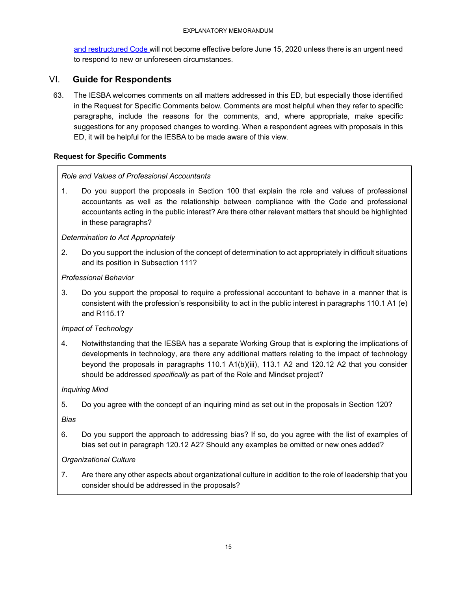and restructured Code will not become effective before June 15, 2020 unless there is an urgent need to respond to new or unforeseen circumstances.

# VI. **Guide for Respondents**

63. The IESBA welcomes comments on all matters addressed in this ED, but especially those identified in the Request for Specific Comments below. Comments are most helpful when they refer to specific paragraphs, include the reasons for the comments, and, where appropriate, make specific suggestions for any proposed changes to wording. When a respondent agrees with proposals in this ED, it will be helpful for the IESBA to be made aware of this view.

## **Request for Specific Comments**

## *Role and Values of Professional Accountants*

1. Do you support the proposals in Section 100 that explain the role and values of professional accountants as well as the relationship between compliance with the Code and professional accountants acting in the public interest? Are there other relevant matters that should be highlighted in these paragraphs?

### *Determination to Act Appropriately*

2. Do you support the inclusion of the concept of determination to act appropriately in difficult situations and its position in Subsection 111?

### *Professional Behavior*

3. Do you support the proposal to require a professional accountant to behave in a manner that is consistent with the profession's responsibility to act in the public interest in paragraphs 110.1 A1 (e) and R115.1?

## *Impact of Technology*

4. Notwithstanding that the IESBA has a separate Working Group that is exploring the implications of developments in technology, are there any additional matters relating to the impact of technology beyond the proposals in paragraphs 110.1 A1(b)(iii), 113.1 A2 and 120.12 A2 that you consider should be addressed *specifically* as part of the Role and Mindset project?

## *Inquiring Mind*

5. Do you agree with the concept of an inquiring mind as set out in the proposals in Section 120?

*Bias* 

6. Do you support the approach to addressing bias? If so, do you agree with the list of examples of bias set out in paragraph 120.12 A2? Should any examples be omitted or new ones added?

## *Organizational Culture*

7. Are there any other aspects about organizational culture in addition to the role of leadership that you consider should be addressed in the proposals?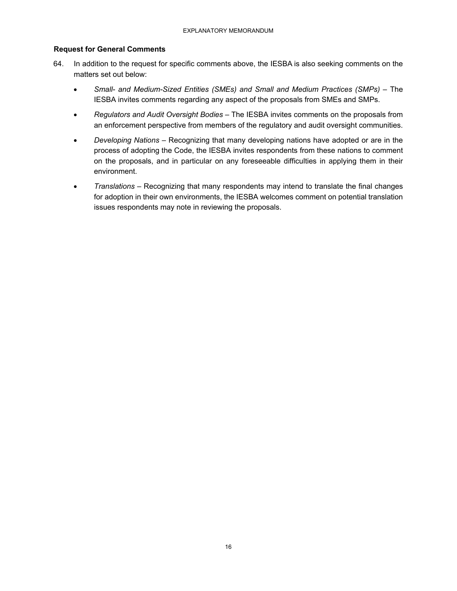### **Request for General Comments**

- 64. In addition to the request for specific comments above, the IESBA is also seeking comments on the matters set out below:
	- *Small- and Medium-Sized Entities (SMEs) and Small and Medium Practices (SMPs) The* IESBA invites comments regarding any aspect of the proposals from SMEs and SMPs.
	- *Regulators and Audit Oversight Bodies –* The IESBA invites comments on the proposals from an enforcement perspective from members of the regulatory and audit oversight communities.
	- *Developing Nations* Recognizing that many developing nations have adopted or are in the process of adopting the Code, the IESBA invites respondents from these nations to comment on the proposals, and in particular on any foreseeable difficulties in applying them in their environment.
	- *Translations –* Recognizing that many respondents may intend to translate the final changes for adoption in their own environments, the IESBA welcomes comment on potential translation issues respondents may note in reviewing the proposals.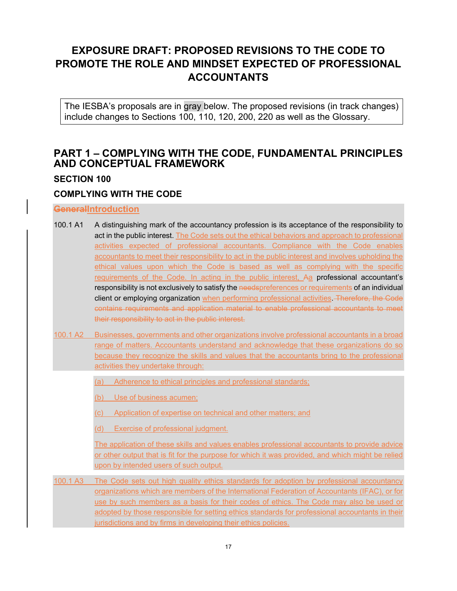# **EXPOSURE DRAFT: PROPOSED REVISIONS TO THE CODE TO PROMOTE THE ROLE AND MINDSET EXPECTED OF PROFESSIONAL ACCOUNTANTS**

The IESBA's proposals are in gray below. The proposed revisions (in track changes) include changes to Sections 100, 110, 120, 200, 220 as well as the Glossary.

# **PART 1 – COMPLYING WITH THE CODE, FUNDAMENTAL PRINCIPLES AND CONCEPTUAL FRAMEWORK**

# **SECTION 100**

# **COMPLYING WITH THE CODE**

# **GeneralIntroduction**

- 100.1 A1 A distinguishing mark of the accountancy profession is its acceptance of the responsibility to act in the public interest. The Code sets out the ethical behaviors and approach to professional activities expected of professional accountants. Compliance with the Code enables accountants to meet their responsibility to act in the public interest and involves upholding the ethical values upon which the Code is based as well as complying with the specific requirements of the Code. In acting in the public interest, Aa professional accountant's responsibility is not exclusively to satisfy the needspreferences or requirements of an individual client or employing organization when performing professional activities. Therefore, the Code contains requirements and application material to enable professional accountants to meet their responsibility to act in the public interest.
- 100.1 A2 Businesses, governments and other organizations involve professional accountants in a broad range of matters. Accountants understand and acknowledge that these organizations do so because they recognize the skills and values that the accountants bring to the professional activities they undertake through:
	- (a) Adherence to ethical principles and professional standards;
	- (b) Use of business acumen;
	- (c) Application of expertise on technical and other matters; and
	- (d) Exercise of professional judgment.

The application of these skills and values enables professional accountants to provide advice or other output that is fit for the purpose for which it was provided, and which might be relied upon by intended users of such output*.* 

100.1 A3 The Code sets out high quality ethics standards for adoption by professional accountancy organizations which are members of the International Federation of Accountants (IFAC), or for use by such members as a basis for their codes of ethics. The Code may also be used or adopted by those responsible for setting ethics standards for professional accountants in their jurisdictions and by firms in developing their ethics policies.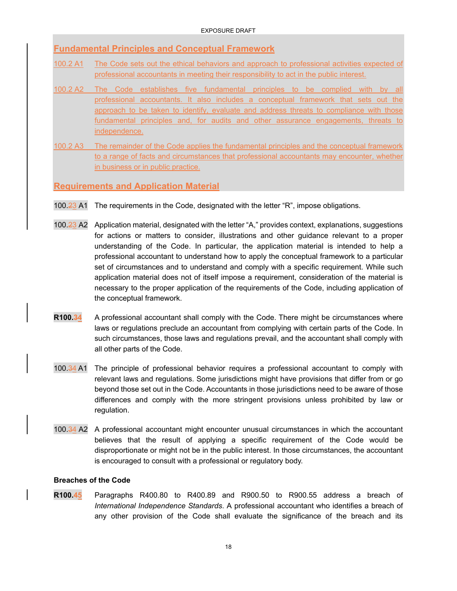# **Fundamental Principles and Conceptual Framework**

- 100.2 A1 The Code sets out the ethical behaviors and approach to professional activities expected of professional accountants in meeting their responsibility to act in the public interest.
- 100.2 A2 The Code establishes five fundamental principles to be complied with by all professional accountants. It also includes a conceptual framework that sets out the approach to be taken to identify, evaluate and address threats to compliance with those fundamental principles and, for audits and other assurance engagements, threats to independence.
- 100.2 A3 The remainder of the Code applies the fundamental principles and the conceptual framework to a range of facts and circumstances that professional accountants may encounter, whether in business or in public practice.

**Requirements and Application Material** 

- 100.23 A1 The requirements in the Code, designated with the letter "R", impose obligations.
- 100.23 A2 Application material, designated with the letter "A," provides context, explanations, suggestions for actions or matters to consider, illustrations and other guidance relevant to a proper understanding of the Code. In particular, the application material is intended to help a professional accountant to understand how to apply the conceptual framework to a particular set of circumstances and to understand and comply with a specific requirement. While such application material does not of itself impose a requirement, consideration of the material is necessary to the proper application of the requirements of the Code, including application of the conceptual framework.
- **R100.34** A professional accountant shall comply with the Code. There might be circumstances where laws or regulations preclude an accountant from complying with certain parts of the Code. In such circumstances, those laws and regulations prevail, and the accountant shall comply with all other parts of the Code.
- 100.34 A1 The principle of professional behavior requires a professional accountant to comply with relevant laws and regulations. Some jurisdictions might have provisions that differ from or go beyond those set out in the Code. Accountants in those jurisdictions need to be aware of those differences and comply with the more stringent provisions unless prohibited by law or regulation.
- 100.34 A2 A professional accountant might encounter unusual circumstances in which the accountant believes that the result of applying a specific requirement of the Code would be disproportionate or might not be in the public interest. In those circumstances, the accountant is encouraged to consult with a professional or regulatory body.

### **Breaches of the Code**

**R100.45** Paragraphs R400.80 to R400.89 and R900.50 to R900.55 address a breach of *International Independence Standards*. A professional accountant who identifies a breach of any other provision of the Code shall evaluate the significance of the breach and its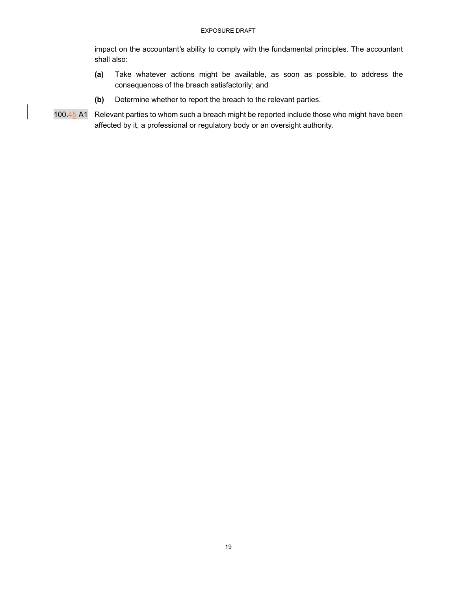impact on the accountant*'*s ability to comply with the fundamental principles. The accountant shall also:

- **(a)** Take whatever actions might be available, as soon as possible, to address the consequences of the breach satisfactorily; and
- **(b)** Determine whether to report the breach to the relevant parties.
- 100.45 A1 Relevant parties to whom such a breach might be reported include those who might have been affected by it, a professional or regulatory body or an oversight authority.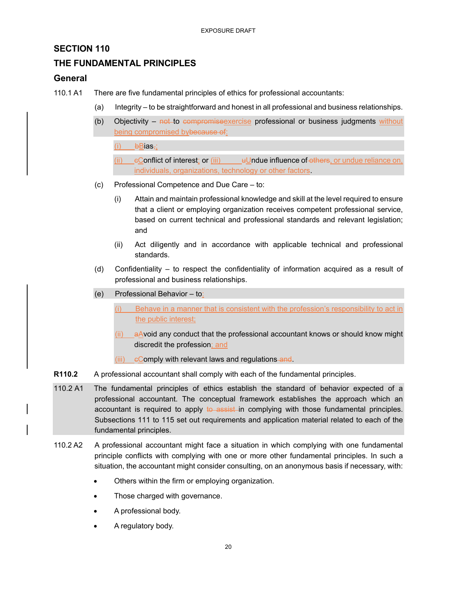# **SECTION 110**

# **THE FUNDAMENTAL PRINCIPLES**

## **General**

- 110.1 A1 There are five fundamental principles of ethics for professional accountants:
	- (a) Integrity to be straightforward and honest in all professional and business relationships.
	- (b) Objectivity  $not-to-*compromis* eexercise professional or business judgments without$ being compromised bybecause of:
		- $(i)$  bBias<sub>7</sub>;
		- (ii)  $\epsilon$  conflict of interest; or (iii)  $\epsilon$  Undue influence of others, or undue reliance on, individuals, organizations, technology or other factors.
	- (c) Professional Competence and Due Care to:
		- (i) Attain and maintain professional knowledge and skill at the level required to ensure that a client or employing organization receives competent professional service, based on current technical and professional standards and relevant legislation; and
		- (ii) Act diligently and in accordance with applicable technical and professional standards.
	- (d) Confidentiality to respect the confidentiality of information acquired as a result of professional and business relationships.
	- (e) Professional Behavior to:
		- (i) Behave in a manner that is consistent with the profession's responsibility to act in the public interest;
		- $(iii)$  a Avoid any conduct that the professional accountant knows or should know might discredit the profession; and
		- $(iii)$   $e$ Comply with relevant laws and regulations and.
- **R110.2** A professional accountant shall comply with each of the fundamental principles.
- 110.2 A1 The fundamental principles of ethics establish the standard of behavior expected of a professional accountant. The conceptual framework establishes the approach which an accountant is required to apply to assist in complying with those fundamental principles. Subsections 111 to 115 set out requirements and application material related to each of the fundamental principles.
- 110.2 A2 A professional accountant might face a situation in which complying with one fundamental principle conflicts with complying with one or more other fundamental principles. In such a situation, the accountant might consider consulting, on an anonymous basis if necessary, with:
	- Others within the firm or employing organization.
	- Those charged with governance.
	- A professional body.
	- A regulatory body.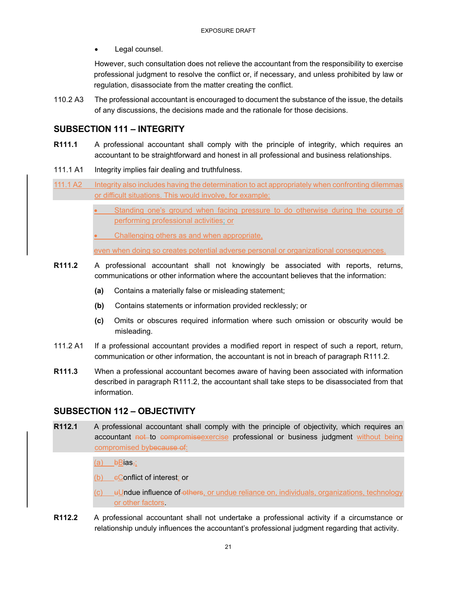Legal counsel.

However, such consultation does not relieve the accountant from the responsibility to exercise professional judgment to resolve the conflict or, if necessary, and unless prohibited by law or regulation, disassociate from the matter creating the conflict.

110.2 A3 The professional accountant is encouraged to document the substance of the issue, the details of any discussions, the decisions made and the rationale for those decisions.

# **SUBSECTION 111 – INTEGRITY**

- **R111.1** A professional accountant shall comply with the principle of integrity, which requires an accountant to be straightforward and honest in all professional and business relationships.
- 111.1 A1 Integrity implies fair dealing and truthfulness.
- 111.1 A2 Integrity also includes having the determination to act appropriately when confronting dilemmas or difficult situations. This would involve, for example:
	- Standing one's ground when facing pressure to do otherwise during the course of performing professional activities; or
	- Challenging others as and when appropriate,

even when doing so creates potential adverse personal or organizational consequences.

- **R111.2** A professional accountant shall not knowingly be associated with reports, returns, communications or other information where the accountant believes that the information:
	- **(a)** Contains a materially false or misleading statement;
	- **(b)** Contains statements or information provided recklessly; or
	- **(c)** Omits or obscures required information where such omission or obscurity would be misleading.
- 111.2 A1 If a professional accountant provides a modified report in respect of such a report, return, communication or other information, the accountant is not in breach of paragraph R111.2.
- **R111.3** When a professional accountant becomes aware of having been associated with information described in paragraph R111.2, the accountant shall take steps to be disassociated from that information.

# **SUBSECTION 112 – OBJECTIVITY**

- **R112.1** A professional accountant shall comply with the principle of objectivity, which requires an accountant not to compromise exercise professional or business judgment without being compromised bybecause of:
	- $(a)$  bBias<sub> $\vec{x}$ </sub>;
	- $(b)$  eConflict of interest; or

(c) uUndue influence of others, or undue reliance on, individuals, organizations, technology or other factors.

**R112.2** A professional accountant shall not undertake a professional activity if a circumstance or relationship unduly influences the accountant's professional judgment regarding that activity.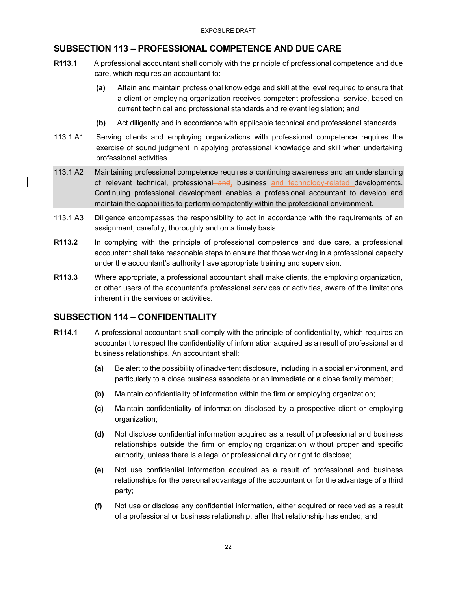# **SUBSECTION 113 – PROFESSIONAL COMPETENCE AND DUE CARE**

- **R113.1** A professional accountant shall comply with the principle of professional competence and due care, which requires an accountant to:
	- **(a)** Attain and maintain professional knowledge and skill at the level required to ensure that a client or employing organization receives competent professional service, based on current technical and professional standards and relevant legislation; and
	- **(b)** Act diligently and in accordance with applicable technical and professional standards.
- 113.1 A1 Serving clients and employing organizations with professional competence requires the exercise of sound judgment in applying professional knowledge and skill when undertaking professional activities.
- 113.1 A2 Maintaining professional competence requires a continuing awareness and an understanding of relevant technical, professional and, business and technology-related developments. Continuing professional development enables a professional accountant to develop and maintain the capabilities to perform competently within the professional environment.
- 113.1 A3 Diligence encompasses the responsibility to act in accordance with the requirements of an assignment, carefully, thoroughly and on a timely basis.
- **R113.2** In complying with the principle of professional competence and due care, a professional accountant shall take reasonable steps to ensure that those working in a professional capacity under the accountant's authority have appropriate training and supervision.
- **R113.3** Where appropriate, a professional accountant shall make clients, the employing organization, or other users of the accountant's professional services or activities, aware of the limitations inherent in the services or activities.

# **SUBSECTION 114 – CONFIDENTIALITY**

- **R114.1** A professional accountant shall comply with the principle of confidentiality, which requires an accountant to respect the confidentiality of information acquired as a result of professional and business relationships. An accountant shall:
	- **(a)** Be alert to the possibility of inadvertent disclosure, including in a social environment, and particularly to a close business associate or an immediate or a close family member;
	- **(b)** Maintain confidentiality of information within the firm or employing organization;
	- **(c)** Maintain confidentiality of information disclosed by a prospective client or employing organization;
	- **(d)** Not disclose confidential information acquired as a result of professional and business relationships outside the firm or employing organization without proper and specific authority, unless there is a legal or professional duty or right to disclose;
	- **(e)** Not use confidential information acquired as a result of professional and business relationships for the personal advantage of the accountant or for the advantage of a third party;
	- **(f)** Not use or disclose any confidential information, either acquired or received as a result of a professional or business relationship, after that relationship has ended; and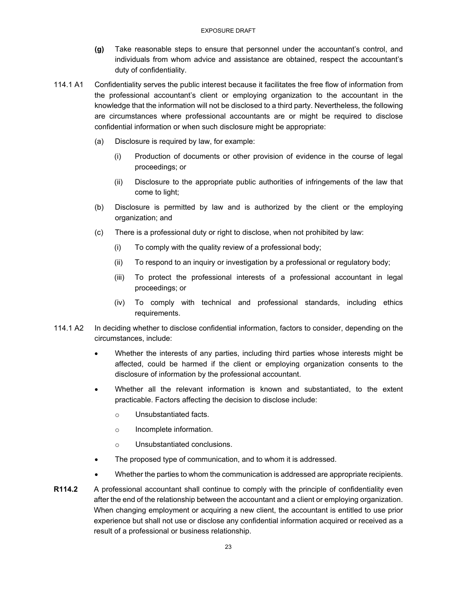- **(g)** Take reasonable steps to ensure that personnel under the accountant's control, and individuals from whom advice and assistance are obtained, respect the accountant's duty of confidentiality.
- 114.1 A1 Confidentiality serves the public interest because it facilitates the free flow of information from the professional accountant's client or employing organization to the accountant in the knowledge that the information will not be disclosed to a third party. Nevertheless, the following are circumstances where professional accountants are or might be required to disclose confidential information or when such disclosure might be appropriate:
	- (a) Disclosure is required by law, for example:
		- (i) Production of documents or other provision of evidence in the course of legal proceedings; or
		- (ii) Disclosure to the appropriate public authorities of infringements of the law that come to light;
	- (b) Disclosure is permitted by law and is authorized by the client or the employing organization; and
	- (c) There is a professional duty or right to disclose, when not prohibited by law:
		- (i) To comply with the quality review of a professional body;
		- (ii) To respond to an inquiry or investigation by a professional or regulatory body;
		- (iii) To protect the professional interests of a professional accountant in legal proceedings; or
		- (iv) To comply with technical and professional standards, including ethics requirements.
- 114.1 A2 In deciding whether to disclose confidential information, factors to consider, depending on the circumstances, include:
	- Whether the interests of any parties, including third parties whose interests might be affected, could be harmed if the client or employing organization consents to the disclosure of information by the professional accountant.
	- Whether all the relevant information is known and substantiated, to the extent practicable. Factors affecting the decision to disclose include:
		- o Unsubstantiated facts.
		- o Incomplete information.
		- o Unsubstantiated conclusions.
	- The proposed type of communication, and to whom it is addressed.
	- Whether the parties to whom the communication is addressed are appropriate recipients.
- **R114.2** A professional accountant shall continue to comply with the principle of confidentiality even after the end of the relationship between the accountant and a client or employing organization. When changing employment or acquiring a new client, the accountant is entitled to use prior experience but shall not use or disclose any confidential information acquired or received as a result of a professional or business relationship.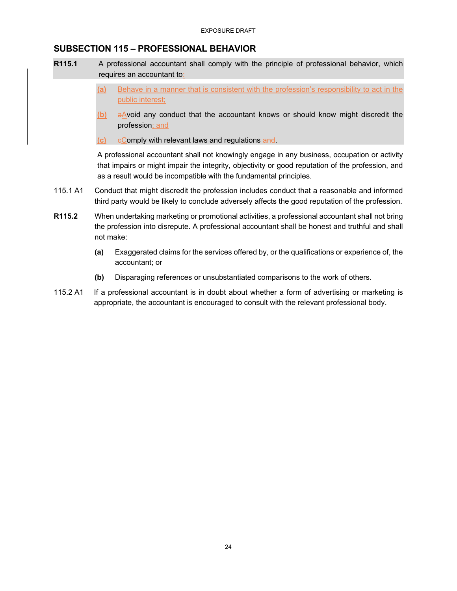## **SUBSECTION 115 – PROFESSIONAL BEHAVIOR**

- **R115.1** A professional accountant shall comply with the principle of professional behavior, which requires an accountant to:
	- **(a)** Behave in a manner that is consistent with the profession's responsibility to act in the public interest;
	- **(b)** aAvoid any conduct that the accountant knows or should know might discredit the profession; and
	- **(c)** eComply with relevant laws and regulations and.

A professional accountant shall not knowingly engage in any business, occupation or activity that impairs or might impair the integrity, objectivity or good reputation of the profession, and as a result would be incompatible with the fundamental principles.

- 115.1 A1 Conduct that might discredit the profession includes conduct that a reasonable and informed third party would be likely to conclude adversely affects the good reputation of the profession.
- **R115.2** When undertaking marketing or promotional activities, a professional accountant shall not bring the profession into disrepute. A professional accountant shall be honest and truthful and shall not make:
	- **(a)** Exaggerated claims for the services offered by, or the qualifications or experience of, the accountant; or
	- **(b)** Disparaging references or unsubstantiated comparisons to the work of others.
- 115.2 A1 If a professional accountant is in doubt about whether a form of advertising or marketing is appropriate, the accountant is encouraged to consult with the relevant professional body.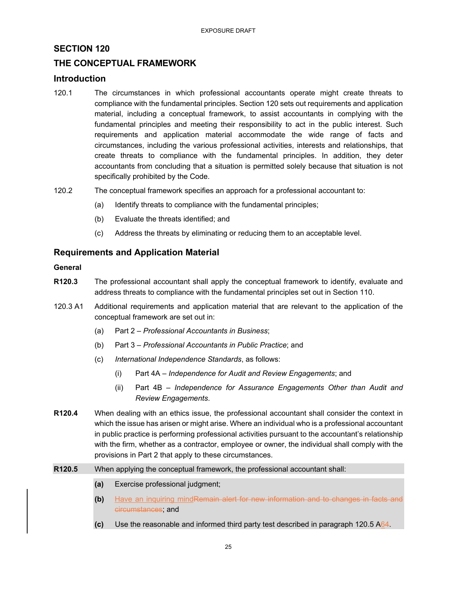# **SECTION 120**

# **THE CONCEPTUAL FRAMEWORK**

### **Introduction**

- 120.1 The circumstances in which professional accountants operate might create threats to compliance with the fundamental principles. Section 120 sets out requirements and application material, including a conceptual framework, to assist accountants in complying with the fundamental principles and meeting their responsibility to act in the public interest. Such requirements and application material accommodate the wide range of facts and circumstances, including the various professional activities, interests and relationships, that create threats to compliance with the fundamental principles. In addition, they deter accountants from concluding that a situation is permitted solely because that situation is not specifically prohibited by the Code.
- 120.2 The conceptual framework specifies an approach for a professional accountant to:
	- (a) Identify threats to compliance with the fundamental principles;
	- (b) Evaluate the threats identified; and
	- (c) Address the threats by eliminating or reducing them to an acceptable level.

## **Requirements and Application Material**

#### **General**

- **R120.3** The professional accountant shall apply the conceptual framework to identify, evaluate and address threats to compliance with the fundamental principles set out in Section 110.
- 120.3 A1 Additional requirements and application material that are relevant to the application of the conceptual framework are set out in:
	- (a) Part 2 *Professional Accountants in Business*;
	- (b) Part 3 *Professional Accountants in Public Practice*; and
	- (c) *International Independence Standards*, as follows:
		- (i) Part 4A *Independence for Audit and Review Engagements*; and
		- (ii) Part 4B *Independence for Assurance Engagements Other than Audit and Review Engagements*.
- **R120.4** When dealing with an ethics issue, the professional accountant shall consider the context in which the issue has arisen or might arise. Where an individual who is a professional accountant in public practice is performing professional activities pursuant to the accountant's relationship with the firm, whether as a contractor, employee or owner, the individual shall comply with the provisions in Part 2 that apply to these circumstances.
- **R120.5** When applying the conceptual framework, the professional accountant shall:
	- **(a)** Exercise professional judgment;
	- **(b)** Have an inquiring mindRemain alert for new information and to changes in facts and circumstances; and
	- **(c)** Use the reasonable and informed third party test described in paragraph 120.5 A64.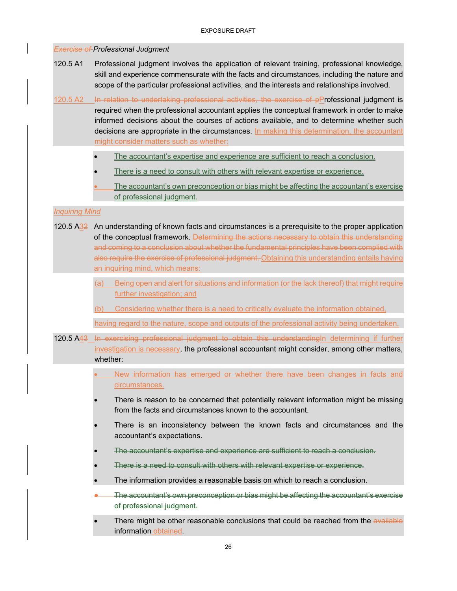*Exercise of Professional Judgment* 120.5 A1 Professional judgment involves the application of relevant training, professional knowledge, skill and experience commensurate with the facts and circumstances, including the nature and scope of the particular professional activities, and the interests and relationships involved.

120.5 A2 In relation to undertaking professional activities, the exercise of pProfessional judgment is required when the professional accountant applies the conceptual framework in order to make informed decisions about the courses of actions available, and to determine whether such decisions are appropriate in the circumstances. In making this determination, the accountant might consider matters such as whether:

- The accountant's expertise and experience are sufficient to reach a conclusion.
- There is a need to consult with others with relevant expertise or experience.
- The accountant's own preconception or bias might be affecting the accountant's exercise of professional judgment.

#### *Inquiring Mind*

- 120.5 A32 An understanding of known facts and circumstances is a prerequisite to the proper application of the conceptual framework. Determining the actions necessary to obtain this understanding and coming to a conclusion about whether the fundamental principles have been complied with also require the exercise of professional judgment. Obtaining this understanding entails having an inquiring mind, which means:
	- (a) Being open and alert for situations and information (or the lack thereof) that might require further investigation; and
	- (b) Considering whether there is a need to critically evaluate the information obtained,

having regard to the nature, scope and outputs of the professional activity being undertaken.

- 120.5 A43 In exercising professional judgment to obtain this understandingIn determining if further investigation is necessary, the professional accountant might consider, among other matters, whether:
	- New information has emerged or whether there have been changes in facts and circumstances.
	- There is reason to be concerned that potentially relevant information might be missing from the facts and circumstances known to the accountant.
	- There is an inconsistency between the known facts and circumstances and the accountant's expectations.
	- The accountant's expertise and experience are sufficient to reach a conclusion.
	- There is a need to consult with others with relevant expertise or experience.
	- The information provides a reasonable basis on which to reach a conclusion.
	- The accountant's own preconception or bias might be affecting the accountant's exercise of professional judgment.
	- There might be other reasonable conclusions that could be reached from the available information obtained.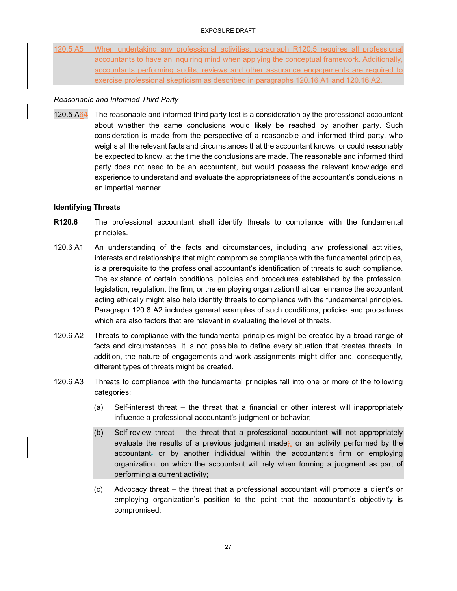120.5 A5 When undertaking any professional activities, paragraph R120.5 requires all professional accountants to have an inquiring mind when applying the conceptual framework. Additionally, accountants performing audits, reviews and other assurance engagements are required to exercise professional skepticism as described in paragraphs 120.16 A1 and 120.16 A2.

#### *Reasonable and Informed Third Party*

120.5 A64 The reasonable and informed third party test is a consideration by the professional accountant about whether the same conclusions would likely be reached by another party. Such consideration is made from the perspective of a reasonable and informed third party, who weighs all the relevant facts and circumstances that the accountant knows, or could reasonably be expected to know, at the time the conclusions are made. The reasonable and informed third party does not need to be an accountant, but would possess the relevant knowledge and experience to understand and evaluate the appropriateness of the accountant's conclusions in an impartial manner.

### **Identifying Threats**

- **R120.6** The professional accountant shall identify threats to compliance with the fundamental principles.
- 120.6 A1 An understanding of the facts and circumstances, including any professional activities, interests and relationships that might compromise compliance with the fundamental principles, is a prerequisite to the professional accountant's identification of threats to such compliance. The existence of certain conditions, policies and procedures established by the profession, legislation, regulation, the firm, or the employing organization that can enhance the accountant acting ethically might also help identify threats to compliance with the fundamental principles. Paragraph 120.8 A2 includes general examples of such conditions, policies and procedures which are also factors that are relevant in evaluating the level of threats.
- 120.6 A2 Threats to compliance with the fundamental principles might be created by a broad range of facts and circumstances. It is not possible to define every situation that creates threats. In addition, the nature of engagements and work assignments might differ and, consequently, different types of threats might be created.
- 120.6 A3 Threats to compliance with the fundamental principles fall into one or more of the following categories:
	- (a) Self-interest threat the threat that a financial or other interest will inappropriately influence a professional accountant's judgment or behavior;
	- (b) Self-review threat the threat that a professional accountant will not appropriately evaluate the results of a previous judgment made; or an activity performed by the accountant, or by another individual within the accountant's firm or employing organization, on which the accountant will rely when forming a judgment as part of performing a current activity;
	- (c) Advocacy threat the threat that a professional accountant will promote a client's or employing organization's position to the point that the accountant's objectivity is compromised;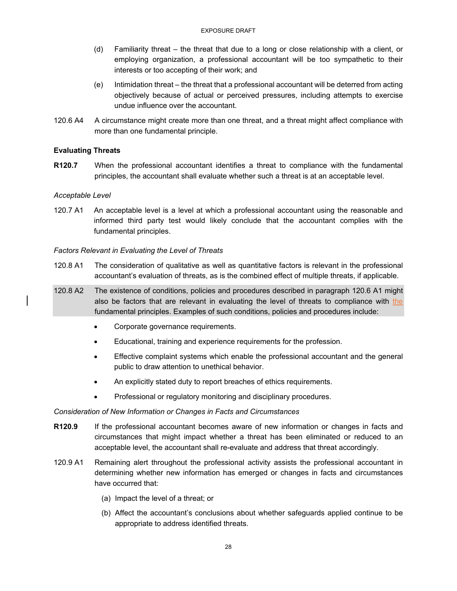- (d) Familiarity threat the threat that due to a long or close relationship with a client, or employing organization, a professional accountant will be too sympathetic to their interests or too accepting of their work; and
- (e) Intimidation threat the threat that a professional accountant will be deterred from acting objectively because of actual or perceived pressures, including attempts to exercise undue influence over the accountant.
- 120.6 A4 A circumstance might create more than one threat, and a threat might affect compliance with more than one fundamental principle.

### **Evaluating Threats**

**R120.7** When the professional accountant identifies a threat to compliance with the fundamental principles, the accountant shall evaluate whether such a threat is at an acceptable level.

### *Acceptable Level*

120.7 A1 An acceptable level is a level at which a professional accountant using the reasonable and informed third party test would likely conclude that the accountant complies with the fundamental principles.

### *Factors Relevant in Evaluating the Level of Threats*

- 120.8 A1 The consideration of qualitative as well as quantitative factors is relevant in the professional accountant's evaluation of threats, as is the combined effect of multiple threats, if applicable.
- 120.8 A2 The existence of conditions, policies and procedures described in paragraph 120.6 A1 might also be factors that are relevant in evaluating the level of threats to compliance with the fundamental principles. Examples of such conditions, policies and procedures include:
	- Corporate governance requirements.
	- Educational, training and experience requirements for the profession.
	- Effective complaint systems which enable the professional accountant and the general public to draw attention to unethical behavior.
	- An explicitly stated duty to report breaches of ethics requirements.
	- Professional or regulatory monitoring and disciplinary procedures.

#### *Consideration of New Information or Changes in Facts and Circumstances*

- **R120.9** If the professional accountant becomes aware of new information or changes in facts and circumstances that might impact whether a threat has been eliminated or reduced to an acceptable level, the accountant shall re-evaluate and address that threat accordingly.
- 120.9 A1 Remaining alert throughout the professional activity assists the professional accountant in determining whether new information has emerged or changes in facts and circumstances have occurred that:
	- (a) Impact the level of a threat; or
	- (b) Affect the accountant's conclusions about whether safeguards applied continue to be appropriate to address identified threats.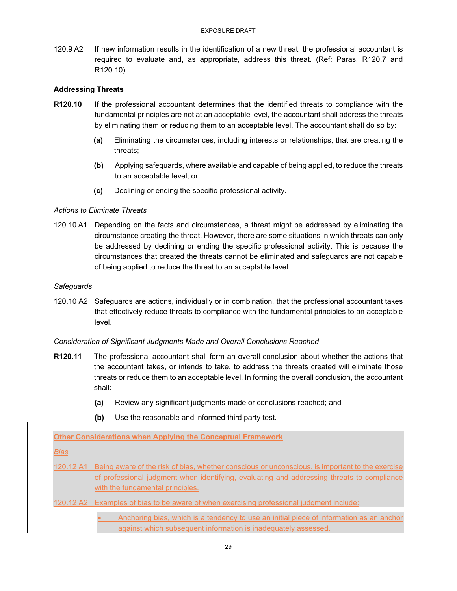120.9 A2 If new information results in the identification of a new threat, the professional accountant is required to evaluate and, as appropriate, address this threat. (Ref: Paras. R120.7 and R120.10).

### **Addressing Threats**

- **R120.10** If the professional accountant determines that the identified threats to compliance with the fundamental principles are not at an acceptable level, the accountant shall address the threats by eliminating them or reducing them to an acceptable level. The accountant shall do so by:
	- **(a)** Eliminating the circumstances, including interests or relationships, that are creating the threats;
	- **(b)** Applying safeguards, where available and capable of being applied, to reduce the threats to an acceptable level; or
	- **(c)** Declining or ending the specific professional activity.

### *Actions to Eliminate Threats*

120.10 A1 Depending on the facts and circumstances, a threat might be addressed by eliminating the circumstance creating the threat. However, there are some situations in which threats can only be addressed by declining or ending the specific professional activity. This is because the circumstances that created the threats cannot be eliminated and safeguards are not capable of being applied to reduce the threat to an acceptable level.

#### *Safeguards*

120.10 A2 Safeguards are actions, individually or in combination, that the professional accountant takes that effectively reduce threats to compliance with the fundamental principles to an acceptable level.

#### *Consideration of Significant Judgments Made and Overall Conclusions Reached*

- **R120.11** The professional accountant shall form an overall conclusion about whether the actions that the accountant takes, or intends to take, to address the threats created will eliminate those threats or reduce them to an acceptable level. In forming the overall conclusion, the accountant shall:
	- **(a)** Review any significant judgments made or conclusions reached; and
	- **(b)** Use the reasonable and informed third party test.

#### **Other Considerations when Applying the Conceptual Framework**

#### *Bias*

- 120.12 A1 Being aware of the risk of bias, whether conscious or unconscious, is important to the exercise of professional judgment when identifying, evaluating and addressing threats to compliance with the fundamental principles.
- 120.12 A2 Examples of bias to be aware of when exercising professional judgment include:
	- Anchoring bias, which is a tendency to use an initial piece of information as an anchor against which subsequent information is inadequately assessed.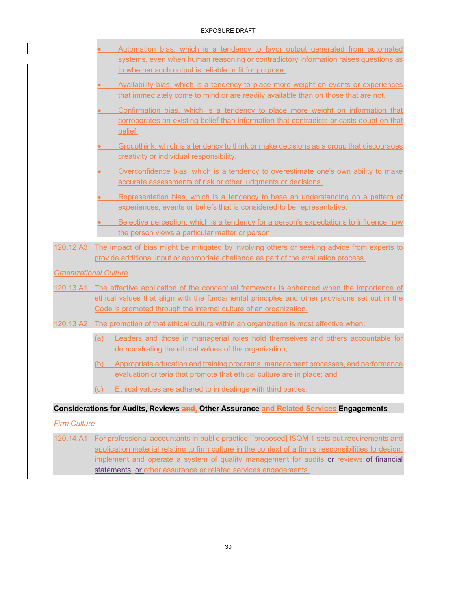#### EXPOSURE DRAFT

- Automation bias, which is a tendency to favor output generated from automated systems, even when human reasoning or contradictory information raises questions as to whether such output is reliable or fit for purpose.
- Availability bias, which is a tendency to place more weight on events or experiences that immediately come to mind or are readily available than on those that are not.
- Confirmation bias, which is a tendency to place more weight on information that corroborates an existing belief than information that contradicts or casts doubt on that belief.
- Groupthink, which is a tendency to think or make decisions as a group that discourages creativity or individual responsibility.
- Overconfidence bias, which is a tendency to overestimate one's own ability to make accurate assessments of risk or other judgments or decisions.
- Representation bias, which is a tendency to base an understanding on a pattern of experiences, events or beliefs that is considered to be representative.
- Selective perception, which is a tendency for a person's expectations to influence how the person views a particular matter or person.
- 120.12 A3 The impact of bias might be mitigated by involving others or seeking advice from experts to provide additional input or appropriate challenge as part of the evaluation process.

### *Organizational Culture*

- 120.13 A1 The effective application of the conceptual framework is enhanced when the importance of ethical values that align with the fundamental principles and other provisions set out in the Code is promoted through the internal culture of an organization.
- 120.13 A2 The promotion of that ethical culture within an organization is most effective when:
	- (a) Leaders and those in managerial roles hold themselves and others accountable for demonstrating the ethical values of the organization;
	- (b) Appropriate education and training programs, management processes, and performance evaluation criteria that promote that ethical culture are in place; and
	- (c) Ethical values are adhered to in dealings with third parties.

### **Considerations for Audits, Reviews and, Other Assurance and Related Services Engagements**

### *Firm Culture*

120.14 A1 For professional accountants in public practice, [proposed] ISQM 1 sets out requirements and application material relating to firm culture in the context of a firm's responsibilities to design, implement and operate a system of quality management for audits or reviews of financial statements, or other assurance or related services engagements.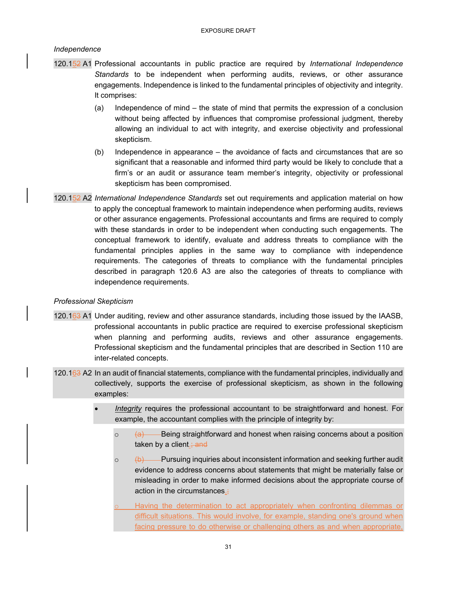### *Independence*

- 120.152 A1 Professional accountants in public practice are required by *International Independence Standards* to be independent when performing audits, reviews, or other assurance engagements. Independence is linked to the fundamental principles of objectivity and integrity. It comprises:
	- (a) Independence of mind the state of mind that permits the expression of a conclusion without being affected by influences that compromise professional judgment, thereby allowing an individual to act with integrity, and exercise objectivity and professional skepticism.
	- (b) Independence in appearance the avoidance of facts and circumstances that are so significant that a reasonable and informed third party would be likely to conclude that a firm's or an audit or assurance team member's integrity, objectivity or professional skepticism has been compromised.
- 120.152 A2 *International Independence Standards* set out requirements and application material on how to apply the conceptual framework to maintain independence when performing audits, reviews or other assurance engagements. Professional accountants and firms are required to comply with these standards in order to be independent when conducting such engagements. The conceptual framework to identify, evaluate and address threats to compliance with the fundamental principles applies in the same way to compliance with independence requirements. The categories of threats to compliance with the fundamental principles described in paragraph 120.6 A3 are also the categories of threats to compliance with independence requirements.

#### *Professional Skepticism*

- 120.163 A1 Under auditing, review and other assurance standards, including those issued by the IAASB, professional accountants in public practice are required to exercise professional skepticism when planning and performing audits, reviews and other assurance engagements. Professional skepticism and the fundamental principles that are described in Section 110 are inter-related concepts.
- 120.163 A2 In an audit of financial statements, compliance with the fundamental principles, individually and collectively, supports the exercise of professional skepticism, as shown in the following examples:
	- *Integrity* requires the professional accountant to be straightforward and honest. For example, the accountant complies with the principle of integrity by:
		- $\circ$  (a) Being straightforward and honest when raising concerns about a position taken by a client. $\frac{1}{2}$  and
		- $\circ$  (b) Pursuing inquiries about inconsistent information and seeking further audit evidence to address concerns about statements that might be materially false or misleading in order to make informed decisions about the appropriate course of action in the circumstances.;
		- Having the determination to act appropriately when confronting dilemmas or difficult situations. This would involve, for example, standing one's ground when facing pressure to do otherwise or challenging others as and when appropriate,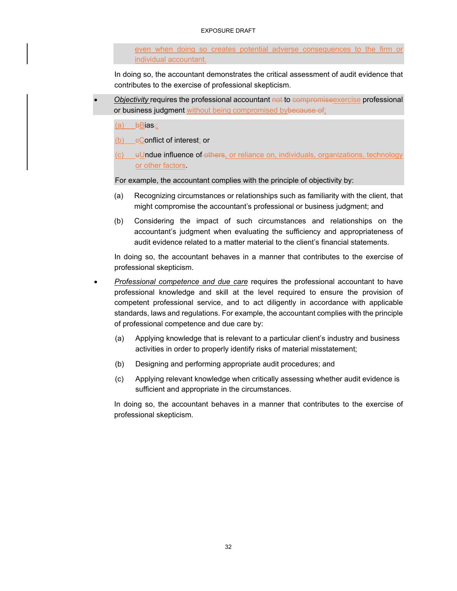#### EXPOSURE DRAFT

even when doing so creates potential adverse consequences to the firm or individual accountant.

In doing so, the accountant demonstrates the critical assessment of audit evidence that contributes to the exercise of professional skepticism.

- *Objectivity* requires the professional accountant not to compromise exercise professional or business judgment without being compromised bybecause of:
	- $(a)$  bBias<sub> $\overline{1}$ </sub>;
	- $(b)$  eConflict of interest; or
	- (c) uUndue influence of others, or reliance on, individuals, organizations, technology or other factors.

For example, the accountant complies with the principle of objectivity by:

- (a) Recognizing circumstances or relationships such as familiarity with the client, that might compromise the accountant's professional or business judgment; and
- (b) Considering the impact of such circumstances and relationships on the accountant's judgment when evaluating the sufficiency and appropriateness of audit evidence related to a matter material to the client's financial statements.

In doing so, the accountant behaves in a manner that contributes to the exercise of professional skepticism.

- *Professional competence and due care* requires the professional accountant to have professional knowledge and skill at the level required to ensure the provision of competent professional service, and to act diligently in accordance with applicable standards, laws and regulations. For example, the accountant complies with the principle of professional competence and due care by:
	- (a) Applying knowledge that is relevant to a particular client's industry and business activities in order to properly identify risks of material misstatement;
	- (b) Designing and performing appropriate audit procedures; and
	- (c) Applying relevant knowledge when critically assessing whether audit evidence is sufficient and appropriate in the circumstances.

In doing so, the accountant behaves in a manner that contributes to the exercise of professional skepticism.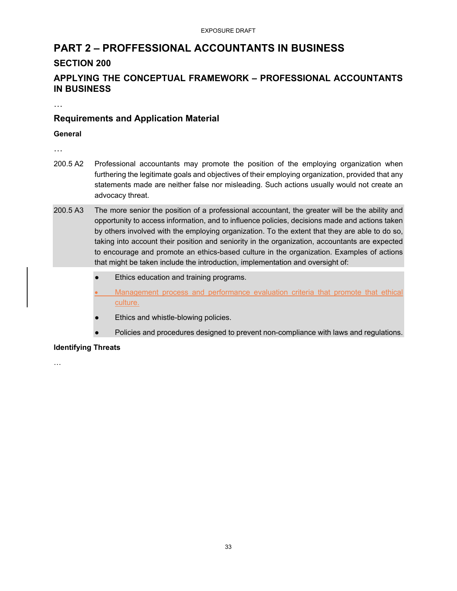# **PART 2 – PROFFESSIONAL ACCOUNTANTS IN BUSINESS**

# **SECTION 200**

# **APPLYING THE CONCEPTUAL FRAMEWORK – PROFESSIONAL ACCOUNTANTS IN BUSINESS**

…

# **Requirements and Application Material**

### **General**

…

- 200.5 A2 Professional accountants may promote the position of the employing organization when furthering the legitimate goals and objectives of their employing organization, provided that any statements made are neither false nor misleading. Such actions usually would not create an advocacy threat.
- 200.5 A3 The more senior the position of a professional accountant, the greater will be the ability and opportunity to access information, and to influence policies, decisions made and actions taken by others involved with the employing organization. To the extent that they are able to do so, taking into account their position and seniority in the organization, accountants are expected to encourage and promote an ethics-based culture in the organization. Examples of actions that might be taken include the introduction, implementation and oversight of:
	- Ethics education and training programs.
	- Management process and performance evaluation criteria that promote that ethical culture.
	- Ethics and whistle-blowing policies.
	- Policies and procedures designed to prevent non-compliance with laws and regulations.

### **Identifying Threats**

…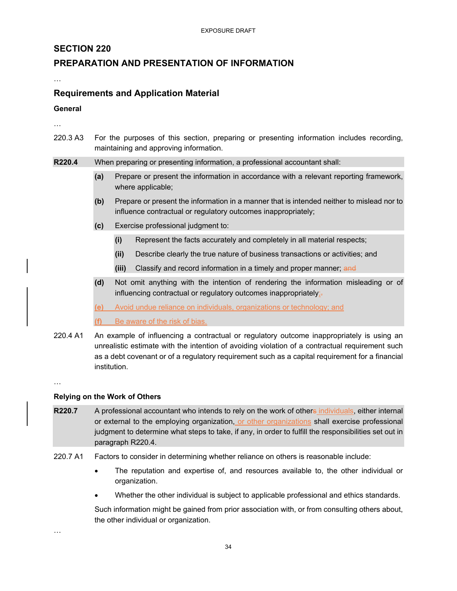# **SECTION 220**

# **PREPARATION AND PRESENTATION OF INFORMATION**

…

# **Requirements and Application Material**

**General** 

…

220.3 A3 For the purposes of this section, preparing or presenting information includes recording, maintaining and approving information.

### **R220.4** When preparing or presenting information, a professional accountant shall:

- **(a)** Prepare or present the information in accordance with a relevant reporting framework, where applicable;
- **(b)** Prepare or present the information in a manner that is intended neither to mislead nor to influence contractual or regulatory outcomes inappropriately;
- **(c)** Exercise professional judgment to:
	- **(i)** Represent the facts accurately and completely in all material respects;
	- **(ii)** Describe clearly the true nature of business transactions or activities; and
	- **(iii)** Classify and record information in a timely and proper manner; and
- **(d)** Not omit anything with the intention of rendering the information misleading or of influencing contractual or regulatory outcomes inappropriately;-
- **(e)** Avoid undue reliance on individuals, organizations or technology; and
- **(f)** Be aware of the risk of bias.
- 220.4 A1 An example of influencing a contractual or regulatory outcome inappropriately is using an unrealistic estimate with the intention of avoiding violation of a contractual requirement such as a debt covenant or of a regulatory requirement such as a capital requirement for a financial institution.

…

### **Relying on the Work of Others**

- **R220.7** A professional accountant who intends to rely on the work of others individuals, either internal or external to the employing organization, or other organizations shall exercise professional judgment to determine what steps to take, if any, in order to fulfill the responsibilities set out in paragraph R220.4.
- 220.7 A1 Factors to consider in determining whether reliance on others is reasonable include:
	- The reputation and expertise of, and resources available to, the other individual or organization.
	- Whether the other individual is subject to applicable professional and ethics standards.

Such information might be gained from prior association with, or from consulting others about, the other individual or organization.

…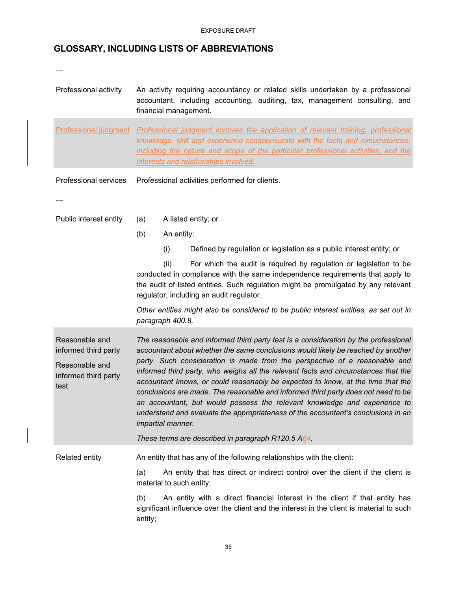Professional activity An activity requiring accountancy or related skills undertaken by a professional

accountant, including accounting, auditing, tax, management consulting, and

# **GLOSSARY, INCLUDING LISTS OF ABBREVIATIONS**

financial management.

| <b>Professional judgment</b>                                                             | Professional judgment involves the application of relevant training, professional<br>knowledge, skill and experience commensurate with the facts and circumstances,<br>including the nature and scope of the particular professional activities, and the<br>interests and relationships involved.                                                                                                                                                                                                                                                                                                                                                                                                          |                     |                                                                                                                                                                                                                                                                                       |  |  |
|------------------------------------------------------------------------------------------|------------------------------------------------------------------------------------------------------------------------------------------------------------------------------------------------------------------------------------------------------------------------------------------------------------------------------------------------------------------------------------------------------------------------------------------------------------------------------------------------------------------------------------------------------------------------------------------------------------------------------------------------------------------------------------------------------------|---------------------|---------------------------------------------------------------------------------------------------------------------------------------------------------------------------------------------------------------------------------------------------------------------------------------|--|--|
| Professional services                                                                    | Professional activities performed for clients.                                                                                                                                                                                                                                                                                                                                                                                                                                                                                                                                                                                                                                                             |                     |                                                                                                                                                                                                                                                                                       |  |  |
|                                                                                          |                                                                                                                                                                                                                                                                                                                                                                                                                                                                                                                                                                                                                                                                                                            |                     |                                                                                                                                                                                                                                                                                       |  |  |
| Public interest entity                                                                   | (a)                                                                                                                                                                                                                                                                                                                                                                                                                                                                                                                                                                                                                                                                                                        | A listed entity; or |                                                                                                                                                                                                                                                                                       |  |  |
|                                                                                          | (b)                                                                                                                                                                                                                                                                                                                                                                                                                                                                                                                                                                                                                                                                                                        | An entity:          |                                                                                                                                                                                                                                                                                       |  |  |
|                                                                                          |                                                                                                                                                                                                                                                                                                                                                                                                                                                                                                                                                                                                                                                                                                            | (i)                 | Defined by regulation or legislation as a public interest entity; or                                                                                                                                                                                                                  |  |  |
|                                                                                          |                                                                                                                                                                                                                                                                                                                                                                                                                                                                                                                                                                                                                                                                                                            | (ii)                | For which the audit is required by regulation or legislation to be<br>conducted in compliance with the same independence requirements that apply to<br>the audit of listed entities. Such regulation might be promulgated by any relevant<br>regulator, including an audit regulator. |  |  |
|                                                                                          | Other entities might also be considered to be public interest entities, as set out in<br>paragraph 400.8.                                                                                                                                                                                                                                                                                                                                                                                                                                                                                                                                                                                                  |                     |                                                                                                                                                                                                                                                                                       |  |  |
| Reasonable and<br>informed third party<br>Reasonable and<br>informed third party<br>test | The reasonable and informed third party test is a consideration by the professional<br>accountant about whether the same conclusions would likely be reached by another<br>party. Such consideration is made from the perspective of a reasonable and<br>informed third party, who weighs all the relevant facts and circumstances that the<br>accountant knows, or could reasonably be expected to know, at the time that the<br>conclusions are made. The reasonable and informed third party does not need to be<br>an accountant, but would possess the relevant knowledge and experience to<br>understand and evaluate the appropriateness of the accountant's conclusions in an<br>impartial manner. |                     |                                                                                                                                                                                                                                                                                       |  |  |
|                                                                                          |                                                                                                                                                                                                                                                                                                                                                                                                                                                                                                                                                                                                                                                                                                            |                     | These terms are described in paragraph R120.5 A64.                                                                                                                                                                                                                                    |  |  |
| Related entity                                                                           |                                                                                                                                                                                                                                                                                                                                                                                                                                                                                                                                                                                                                                                                                                            |                     | An entity that has any of the following relationships with the client:                                                                                                                                                                                                                |  |  |
|                                                                                          | (a)                                                                                                                                                                                                                                                                                                                                                                                                                                                                                                                                                                                                                                                                                                        |                     | An entity that has direct or indirect control over the client if the client is<br>material to such entity;                                                                                                                                                                            |  |  |
|                                                                                          | (b)                                                                                                                                                                                                                                                                                                                                                                                                                                                                                                                                                                                                                                                                                                        |                     | An entity with a direct financial interest in the client if that entity has<br>significant influence over the client and the interest in the client is material to such                                                                                                               |  |  |

entity;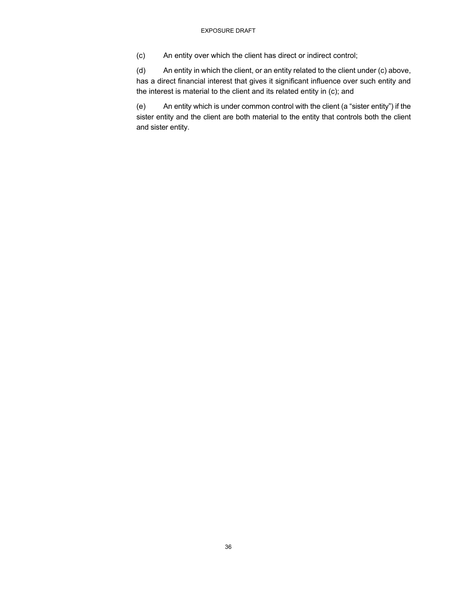(c) An entity over which the client has direct or indirect control;

(d) An entity in which the client, or an entity related to the client under (c) above, has a direct financial interest that gives it significant influence over such entity and the interest is material to the client and its related entity in (c); and

(e) An entity which is under common control with the client (a "sister entity") if the sister entity and the client are both material to the entity that controls both the client and sister entity.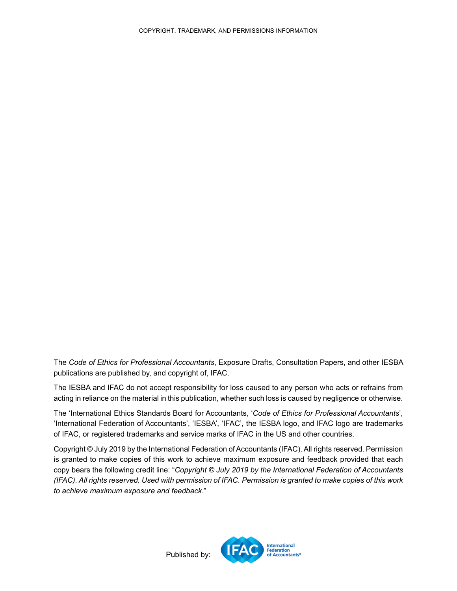The *Code of Ethics for Professional Accountants*, Exposure Drafts, Consultation Papers, and other IESBA publications are published by, and copyright of, IFAC.

The IESBA and IFAC do not accept responsibility for loss caused to any person who acts or refrains from acting in reliance on the material in this publication, whether such loss is caused by negligence or otherwise.

The 'International Ethics Standards Board for Accountants, '*Code of Ethics for Professional Accountants*', 'International Federation of Accountants', 'IESBA', 'IFAC', the IESBA logo, and IFAC logo are trademarks of IFAC, or registered trademarks and service marks of IFAC in the US and other countries.

Copyright © July 2019 by the International Federation of Accountants (IFAC). All rights reserved. Permission is granted to make copies of this work to achieve maximum exposure and feedback provided that each copy bears the following credit line: "*Copyright © July 2019 by the International Federation of Accountants (IFAC). All rights reserved. Used with permission of IFAC. Permission is granted to make copies of this work to achieve maximum exposure and feedback*."



Published by: